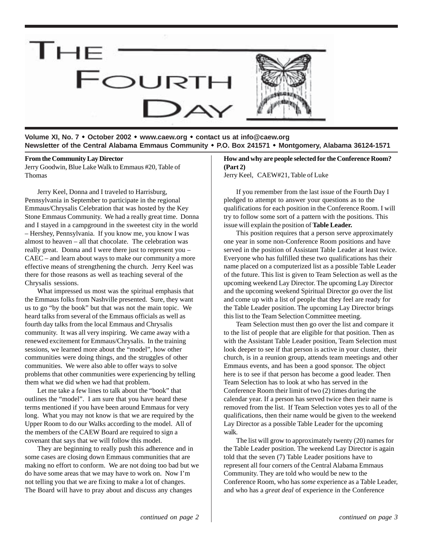

**Volume XI, No. 7** ! **October 2002** ! **www.caew.org** ! **contact us at info@caew.org Newsletter of the Central Alabama Emmaus Community** ! **P.O. Box 241571** ! **Montgomery, Alabama 36124-1571**

#### **From the Community Lay Director**

Jerry Goodwin, Blue Lake Walk to Emmaus #20, Table of Thomas

Jerry Keel, Donna and I traveled to Harrisburg, Pennsylvania in September to participate in the regional Emmaus/Chrysalis Celebration that was hosted by the Key Stone Emmaus Community. We had a really great time. Donna and I stayed in a campground in the sweetest city in the world – Hershey, Pennsylvania. If you know me, you know I was almost to heaven – all that chocolate. The celebration was really great. Donna and I were there just to represent you – CAEC – and learn about ways to make our community a more effective means of strengthening the church. Jerry Keel was there for those reasons as well as teaching several of the Chrysalis sessions.

What impressed us most was the spiritual emphasis that the Emmaus folks from Nashville presented. Sure, they want us to go "by the book" but that was not the main topic. We heard talks from several of the Emmaus officials as well as fourth day talks from the local Emmaus and Chrysalis community. It was all very inspiring. We came away with a renewed excitement for Emmaus/Chrysalis. In the training sessions, we learned more about the "model", how other communities were doing things, and the struggles of other communities. We were also able to offer ways to solve problems that other communities were experiencing by telling them what we did when we had that problem.

Let me take a few lines to talk about the "book" that outlines the "model". I am sure that you have heard these terms mentioned if you have been around Emmaus for very long. What you may not know is that we are required by the Upper Room to do our Walks according to the model. All of the members of the CAEW Board are required to sign a covenant that says that we will follow this model.

They are beginning to really push this adherence and in some cases are closing down Emmaus communities that are making no effort to conform. We are not doing too bad but we do have some areas that we may have to work on. Now I'm not telling you that we are fixing to make a lot of changes. The Board will have to pray about and discuss any changes

#### **How and why are people selected for the Conference Room? (Part 2)**

Jerry Keel, CAEW#21, Table of Luke

If you remember from the last issue of the Fourth Day I pledged to attempt to answer your questions as to the qualifications for each position in the Conference Room. I will try to follow some sort of a pattern with the positions. This issue will explain the position of **Table Leader.**

This position requires that a person serve approximately one year in some non-Conference Room positions and have served in the position of Assistant Table Leader at least twice. Everyone who has fulfilled these two qualifications has their name placed on a computerized list as a possible Table Leader of the future. This list is given to Team Selection as well as the upcoming weekend Lay Director. The upcoming Lay Director and the upcoming weekend Spiritual Director go over the list and come up with a list of people that they feel are ready for the Table Leader position. The upcoming Lay Director brings this list to the Team Selection Committee meeting.

Team Selection must then go over the list and compare it to the list of people that are eligible for that position. Then as with the Assistant Table Leader position, Team Selection must look deeper to see if that person is active in your cluster, their church, is in a reunion group, attends team meetings and other Emmaus events, and has been a good sponsor. The object here is to see if that person has become a good leader. Then Team Selection has to look at who has served in the Conference Room their limit of two (2) times during the calendar year. If a person has served twice then their name is removed from the list. If Team Selection votes yes to all of the qualifications, then their name would be given to the weekend Lay Director as a possible Table Leader for the upcoming walk.

The list will grow to approximately twenty (20) names for the Table Leader position. The weekend Lay Director is again told that the seven (7) Table Leader positions have to represent all four corners of the Central Alabama Emmaus Community. They are told who would be new to the Conference Room, who has *some* experience as a Table Leader, and who has a *great deal* of experience in the Conference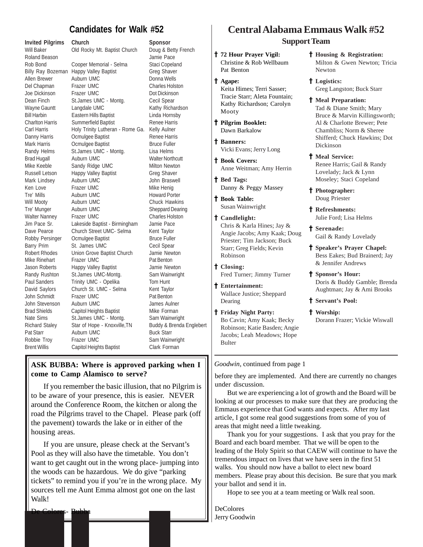## **Candidates for Walk #52**

**Invited Pilgrims Church Sponsor** Will Baker Old Rocky Mt. Baptist Church Doug & Betty French Roland Beason **International Community** Contract and Tamie Pace Rob Bond Cooper Memorial - Selma Staci Copeland Billy Ray Bozeman Happy Valley Baptist Greg Shaver Allen Brewer Auburn UMC **Donna Wells** Del Chapman Frazer UMC Charles Holston Joe Dickinson Frazer UMC Dot Dickinson Dean Finch St.James UMC - Montg. Cecil Spear Wayne Gauntt Langdale UMC Kathy Richardson Bill Harbin Eastern Hills Baptist Linda Hornsby Charlton Harris Summerfield Baptist Renee Harris Carl Harris **Holy Trinity Lutheran - Rome Ga. Kelly Aulner** Danny Harris **Comulgee Baptist** Renee Harris Mark Harris **Comulgee Baptist** Bruce Fuller Randy Helms St.James UMC - Montg. Lisa Helms Brad Hugall **Auburn UMC** Walter Northcutt Mike Keeble Sandy Ridge UMC Milton Newton Russell Letson Happy Valley Baptist Greg Shaver Mark Lindsey Auburn UMC **Mark Lindsey** Auburn UMC Ken Love Frazer UMC Mike Henig Tre' Mills **Auburn UMC** Howard Porter Will Mooty **Auburn UMC** Chuck Hawkins Tre' Munger Auburn UMC Sheppard Dearing Walter Nanney Frazer UMC Charles Holston Jim Pace Sr. Lakeside Baptist - Birmingham Jamie Pace Dave Pearce Church Street UMC- Selma Kent Taylor Robby Persinger Ocmulgee Baptist Bruce Fuller Barry Prim St. James UMC Cecil Spear Robert Rhodes Union Grove Baptist Church Jamie Newton Mike Rinehart Frazer UMC Pat Benton Jason Roberts Happy Valley Baptist Jamie Newton Randy Rushton St.James UMC-Montg. Sam Wainwright Paul Sanders Trinity UMC - Opelika Tom Hunt David Saylors Church St. UMC - Selma Kent Taylor John Schmidt Frazer UMC Pat Benton John Stevenson Auburn UMC James Aulner Brad Shields Capitol Heights Baptist Mike Forman Nate Sims St.James UMC - Montg. Sam Wainwright Richard Staley Star of Hope - Knoxville, TN Buddy & Brenda Englebert Pat Starr **Auburn UMC** Buck Starr Robbie Troy Frazer UMC Sam Wainwright Brent Willis Capitol Heights Baptist Clark Forman

### **ASK BUBBA: Where is approved parking when I come to Camp Alamisco to serve?**

If you remember the basic illusion, that no Pilgrim is to be aware of your presence, this is easier. NEVER around the Conference Room, the kitchen or along the road the Pilgrims travel to the Chapel. Please park (off the pavement) towards the lake or in either of the housing areas.

If you are unsure, please check at the Servant's Pool as they will also have the timetable. You don't want to get caught out in the wrong place- jumping into the woods can be hazardous. We do give "parking tickets" to remind you if you're in the wrong place. My sources tell me Aunt Emma almost got one on the last Walk!

# **Central Alabama Emmaus Walk #52 Support Team**

† **72 Hour Prayer Vigil:** Christine & Rob Wellbaum Pat Benton

- † † **Agape:** Keita Himes; Terri Sasser; Tracie Starr; Aleta Fountain; Kathy Richardson; Carolyn Mooty
- † † **Pilgrim Booklet:** Dawn Barkalow

† † **Banners:** Vicki Evans; Jerry Long

† † **Book Covers:** Anne Weitman; Amy Herrin

† † **Bed Tags:** Danny & Peggy Massey

† † **Book Table:** Susan Wainwright

† † **Candlelight:** Chris & Karla Hines; Jay & Angie Jacobs; Amy Kaak; Doug Priester; Tim Jackson; Buck Starr; Greg Fields; Kevin Robinson

† † **Closing:** Fred Turner; Jimmy Turner

- † † **Entertainment:** Wallace Justice; Sheppard Dearing
- † † **Friday Night Party:** Bo Cavin; Amy Kaak; Becky Robinson; Katie Basden; Angie Jacobs; Leah Meadows; Hope Bulter

† **Housing & Registration:** Milton & Gwen Newton; Tricia Newton

† **Logistics:** Greg Langston; Buck Starr

† **Meal Preparation:** Tad & Diane Smith; Mary Bruce & Marvin Killingsworth; Al & Charlotte Brewer; Pete Chambliss; Norm & Sheree Shifferd; Chuck Hawkins; Dot Dickinson

- † **Meal Service:** Renee Harris; Gail & Randy Lovelady; Jack & Lynn Moseley; Staci Copeland
- † **Photographer:** Doug Priester
- † **Refreshments:** Julie Ford; Lisa Helms
- † **Serenade:** Gail & Randy Lovelady
- † **Speaker's Prayer Chapel:** Bess Eakes; Bud Brainerd; Jay & Jennifer Andrews
- † **Sponsor's Hour:** Doris & Buddy Gamble; Brenda Aughtman; Jay & Ami Brooks
- † **Servant's Pool:**
- † **Worship:** Dorann Frazer; Vickie Wiswall

*Goodwin*, continued from page 1

before they are implemented. And there are currently no changes under discussion.

But we are experiencing a lot of growth and the Board will be looking at our processes to make sure that they are producing the Emmaus experience that God wants and expects. After my last article, I got some real good suggestions from some of you of areas that might need a little tweaking.

Thank you for your suggestions. I ask that you pray for the Board and each board member. That we will be open to the leading of the Holy Spirit so that CAEW will continue to have the tremendous impact on lives that we have seen in the first 51 walks. You should now have a ballot to elect new board members. Please pray about this decision. Be sure that you mark your ballot and send it in.

Hope to see you at a team meeting or Walk real soon.

DeColores Jerry Goodwin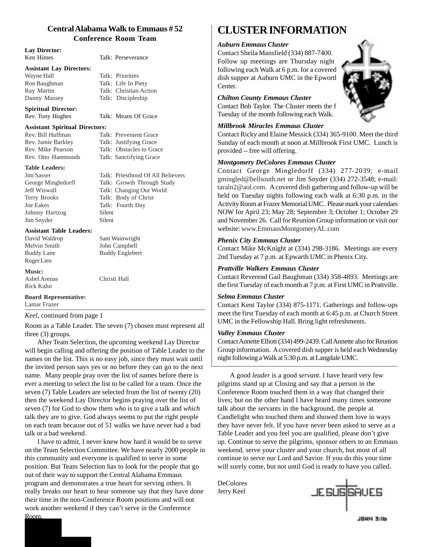#### **Central Alabama Walk to Emmaus # 52 Conference Room Team**

| <b>Lay Director:</b>                  |                                   |  |  |  |
|---------------------------------------|-----------------------------------|--|--|--|
| Ken Himes                             | Talk: Perseverance                |  |  |  |
| <b>Assistant Lay Directors:</b>       |                                   |  |  |  |
| Wayne Hall                            | Talk: Priorities                  |  |  |  |
| Ron Baughman                          | Talk: Life In Piety               |  |  |  |
| Ray Martin                            | Talk: Christian Action            |  |  |  |
| Danny Massey                          | Talk: Discipleship                |  |  |  |
| <b>Spiritual Director:</b>            |                                   |  |  |  |
| Rev. Tony Hughes                      | Talk: Means Of Grace              |  |  |  |
| <b>Assistant Spiritual Directors:</b> |                                   |  |  |  |
| Rev. Bill Huffman                     | Talk: Prevenient Grace            |  |  |  |
| Rev. Jamie Barkley                    | Talk: Justifying Grace            |  |  |  |
| Rev. Mike Pearson                     | Talk: Obstacles to Grace          |  |  |  |
| Rev. Otto Hammonds                    | Talk: Sanctifying Grace           |  |  |  |
| Table Leaders:                        |                                   |  |  |  |
| Jim Sasser                            | Talk: Priesthood Of All Believers |  |  |  |
| George Mingledorff                    | Talk: Growth Through Study        |  |  |  |
| <b>Jeff Wiswall</b>                   | Talk: Changing Our World          |  |  |  |
| <b>Terry Brooks</b>                   | Talk: Body of Christ              |  |  |  |
| <b>Joe Eakes</b>                      | Talk: Fourth Day                  |  |  |  |
| Johnny Hartzog                        | Silent                            |  |  |  |
| Jim Snyder                            | Silent                            |  |  |  |
| <b>Assistant Table Leaders:</b>       |                                   |  |  |  |
| David Waldrop                         | Sam Wainwright                    |  |  |  |
| Melvin Smith                          | John Campbell                     |  |  |  |
| <b>Buddy Lane</b>                     | <b>Buddy Englebert</b>            |  |  |  |
| Roger Lien                            |                                   |  |  |  |
| <b>Music:</b>                         |                                   |  |  |  |
| <b>Asbel Arenas</b>                   | Christi Hall                      |  |  |  |
| Rick Kuhn                             |                                   |  |  |  |
| <b>Board Representative:</b>          |                                   |  |  |  |
| Lamar Frazer                          |                                   |  |  |  |
| Keel, continued from page 1           |                                   |  |  |  |

Room as a Table Leader. The seven (7) chosen must represent all three (3) groups.

After Team Selection, the upcoming weekend Lay Director will begin calling and offering the position of Table Leader to the names on the list. This is no easy job, since they must wait until the invited person says yes or no before they can go to the next name. Many people pray over the list of names before there is ever a meeting to select the list to be called for a team. Once the seven (7) Table Leaders are selected from the list of twenty (20) then the weekend Lay Director begins praying over the list of seven (7) for God to show them *who* is to give a talk and *which* talk they are to give. God always seems to put the right people on each team because out of 51 walks we have never had a bad talk or a bad weekend.

I have to admit, I never knew how hard it would be to serve on the Team Selection Committee. We have nearly 2000 people in this community and everyone is qualified to serve in some position. But Team Selection has to look for the people that go out of their way to support the Central Alabama Emmaus program and demonstrates a true heart for serving others. It really breaks our heart to hear someone say that they have done their time in the non-Conference Room positions and will not work another weekend if they can't serve in the Conference Room.

# **CLUSTER INFORMATION**

#### *Auburn Emmaus Cluster*

Contact Sheila Mansfield (334) 887-7400. Follow up meetings are Thursday night following each Walk at 6 p.m. for a covered dish supper at Auburn UMC in the Epworth Center.



Contact Bob Taylor. The Cluster meets the f Tuesday of the month following each Walk.

#### *Millbrook Miracles Emmaus Cluster*

Contact Ricky and Elaine Messick (334) 365-9100. Meet the third Sunday of each month at noon at Millbrook First UMC. Lunch is provided -- free will offering.

#### *Montgomery DeColores Emmaus Cluster*

Contact George Mingledorff (334) 277-2039; e-mail gmingled@bellsouth.net or Jim Snyder (334) 272-3548; e-mail: taraln2@aol.com. A covered dish gathering and follow-up will be held on Tuesday nights following each walk at 6:30 p.m. in the Activity Room at Frazer Memorial UMC. Please mark your calendars NOW for April 23; May 28; September 3; October 1; October 29 and November 26. Call for Reunion Group information or visit our website: www.EmmausMontgomeryAL.com

#### *Phenix City Emmaus Cluster*

Contact Mike McKnight at (334) 298-3186. Meetings are every 2nd Tuesday at 7 p.m. at Epwarth UMC in Phenix City.

#### *Prattville Walkers Emmaus Cluster*

Contact Reverend Gail Baughman (334) 358-4893. Meetings are the first Tuesday of each month at 7 p.m. at First UMC in Prattville.

#### *Selma Emmaus Cluster*

Contact Kent Taylor (334) 875-1171. Gatherings and follow-ups meet the first Tuesday of each month at 6:45 p.m. at Church Street UMC in the Fellowship Hall. Bring light refreshments.

#### *Valley Emmaus Cluster*

Contact Annette Elliott (334) 499-2439. Call Annette also for Reunion Group information. A covered dish supper is held each Wednesday night following a Walk at 5:30 p.m. at Langdale UMC.

A good *leader* is a good *servant*. I have heard very few pilgrims stand up at Closing and say that a person in the Conference Room touched them in a way that changed their lives; but on the other hand I have heard many times someone talk about the servants in the background, the people at Candlelight who touched them and showed them love in ways they have never felt. If you have never been asked to serve as a Table Leader and you feel you are qualified, please don't give up. Continue to serve the pilgrims, sponsor others to an Emmaus weekend, serve your cluster and your church, but most of all continue to serve our Lord and Savior. If you do this your time will surely come, but not until God is ready to have you called.

DeColores Jerry Keel